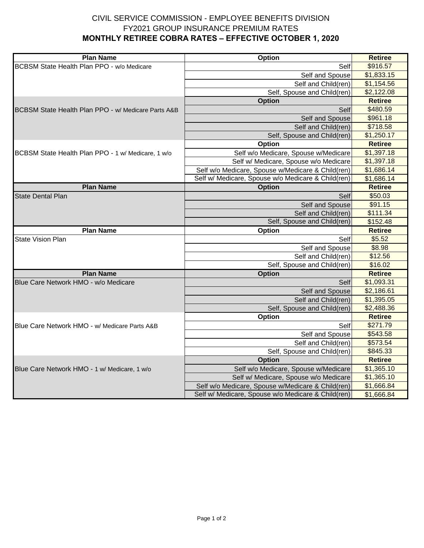## CIVIL SERVICE COMMISSION - EMPLOYEE BENEFITS DIVISION **MONTHLY RETIREE COBRA RATES – EFFECTIVE OCTOBER 1, 2020** FY2021 GROUP INSURANCE PREMIUM RATES

| <b>Plan Name</b>                                    | Option                                             | <b>Retiree</b> |
|-----------------------------------------------------|----------------------------------------------------|----------------|
| BCBSM State Health Plan PPO - w/o Medicare          | Self                                               | \$916.57       |
|                                                     | Self and Spouse                                    | \$1,833.15     |
|                                                     | Self and Child(ren)                                | \$1,154.56     |
|                                                     | Self, Spouse and Child(ren)                        | \$2,122.08     |
|                                                     | <b>Option</b>                                      | <b>Retiree</b> |
| BCBSM State Health Plan PPO - w/ Medicare Parts A&B | Self                                               | \$480.59       |
|                                                     | Self and Spouse                                    | \$961.18       |
|                                                     | Self and Child(ren)                                | \$718.58       |
|                                                     | Self, Spouse and Child(ren)                        | \$1,250.17     |
|                                                     | Option                                             | <b>Retiree</b> |
| BCBSM State Health Plan PPO - 1 w/ Medicare, 1 w/o  | Self w/o Medicare, Spouse w/Medicare               | \$1,397.18     |
|                                                     | Self w/ Medicare, Spouse w/o Medicare              | \$1,397.18     |
|                                                     | Self w/o Medicare, Spouse w/Medicare & Child(ren)  | \$1,686.14     |
|                                                     | Self w/ Medicare, Spouse w/o Medicare & Child(ren) | \$1,686.14     |
| <b>Plan Name</b>                                    | <b>Option</b>                                      | <b>Retiree</b> |
| <b>State Dental Plan</b>                            | Self                                               | \$50.03        |
|                                                     | Self and Spouse                                    | \$91.15        |
|                                                     | Self and Child(ren)                                | \$111.34       |
|                                                     | Self, Spouse and Child(ren)                        | \$152.48       |
| <b>Plan Name</b>                                    | <b>Option</b>                                      | <b>Retiree</b> |
| <b>State Vision Plan</b>                            | Self                                               | \$5.52         |
|                                                     | Self and Spouse                                    | \$8.98         |
|                                                     | Self and Child(ren)                                | \$12.56        |
|                                                     | Self, Spouse and Child(ren)                        | \$16.02        |
| <b>Plan Name</b>                                    | <b>Option</b>                                      | <b>Retiree</b> |
| Blue Care Network HMO - w/o Medicare                | Self                                               | \$1,093.31     |
|                                                     | Self and Spouse                                    | \$2,186.61     |
|                                                     | Self and Child(ren)                                | \$1,395.05     |
|                                                     | Self, Spouse and Child(ren)                        | \$2,488.36     |
|                                                     | Option                                             | <b>Retiree</b> |
| Blue Care Network HMO - w/ Medicare Parts A&B       | Self                                               | \$271.79       |
|                                                     | Self and Spouse                                    | \$543.58       |
|                                                     | Self and Child(ren)                                | \$573.54       |
|                                                     | Self, Spouse and Child(ren)                        | \$845.33       |
|                                                     | <b>Option</b>                                      | <b>Retiree</b> |
| Blue Care Network HMO - 1 w/ Medicare, 1 w/o        | Self w/o Medicare, Spouse w/Medicare               | \$1,365.10     |
|                                                     | Self w/ Medicare, Spouse w/o Medicare              | \$1,365.10     |
|                                                     | Self w/o Medicare, Spouse w/Medicare & Child(ren)  | \$1,666.84     |
|                                                     | Self w/ Medicare, Spouse w/o Medicare & Child(ren) | \$1,666.84     |